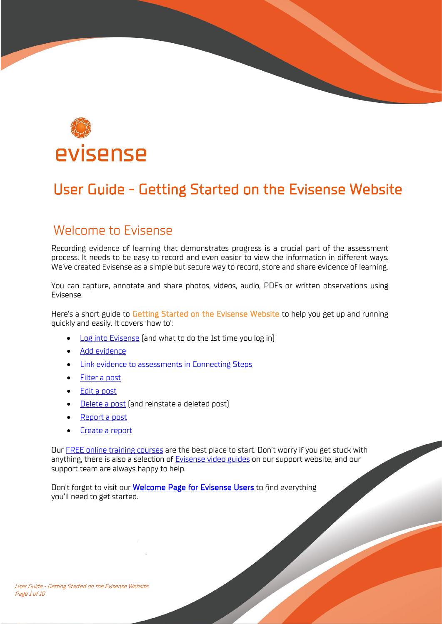

# User Guide - Getting Started on the Evisense Website

### Welcome to Evisense

Recording evidence of learning that demonstrates progress is a crucial part of the assessment process. It needs to be easy to record and even easier to view the information in different ways. We've created Evisense as a simple but secure way to record, store and share evidence of learning.

You can capture, annotate and share photos, videos, audio, PDFs or written observations using Evisense.

Here's a short guide to Getting Started on the Evisense Website to help you get up and running quickly and easily. It covers 'how to':

- Log into Evisense (and what to do the 1st time you log in)
- [Add evidence](#page-2-0)
- [Link evidence to assessments in Connecting Steps](#page-3-0)
- [Filter a post](#page-4-0)
- [Edit a post](#page-4-1)
- [Delete a post](#page-5-0) (and reinstate a deleted post)
- [Report a post](#page-5-1)
- [Create a report](#page-6-0)

Our [FREE online training courses](https://support.bsquared.co.uk/training?utm_source=Evisense&utm_medium=User-Guide&utm_campaign=FREE-Online-Courses) are the best place to start. Don't worry if you get stuck with anything, there is also a selection of [Evisense video guides](https://support.bsquared.co.uk/evisense/category/video-guides/?utm_source=Evisense&utm_medium=UserGuide&utm_campaign=EVISupportSite-VideoGuides) on our support website, and our support team are always happy to help.

Don't forget to visit our **Welcome Page for Evisense Users** to find everything you'll need to get started.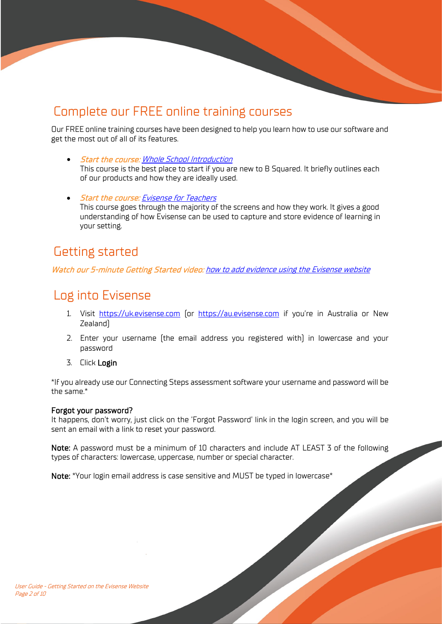## Complete our FREE online training courses

Our FREE online training courses have been designed to help you learn how to use our software and get the most out of all of its features.

- Start the course: [Whole School Introduction](https://support.bsquared.co.uk/courses/whole-school-introduction?utm_source=Evisense&utm_medium=User-Guide&utm_campaign=Whole-School-Training-Video) This course is the best place to start if you are new to B Squared. It briefly outlines each of our products and how they are ideally used.
- Start the course: [Evisense for Teachers](https://support.bsquared.co.uk/courses/evisense-for-teachers?utm_source=Evisense&utm_medium=User-Guide&utm_campaign=EvisenseforTeachers-Training-Video) This course goes through the majority of the screens and how they work. It gives a good understanding of how Evisense can be used to capture and store evidence of learning in your setting.

### Getting started

Watch our 5-minute Getting Started video: [how to add evidence using the Evisense website](https://support.bsquared.co.uk/evisense/how-do-i-add-evidence-using-the-evisense-website/?utm_source=Evisense&utm_medium=UserGuide&utm_campaign=EVISupportSiteVideo-AddEvidence)

## Log into Evisense

- 1. Visit [https://uk.evisense.com](https://uk.evisense.com/) (or [https://au.evisense.com](https://au.evisense.com/) if you're in Australia or New Zealand)
- 2. Enter your username (the email address you registered with) in lowercase and your password
- 3. Click Login

\*If you already use our Connecting Steps assessment software your username and password will be the same.\*

#### Forgot your password?

It happens, don't worry, just click on the 'Forgot Password' link in the login screen, and you will be sent an email with a link to reset your password.

Note: A password must be a minimum of 10 characters and include AT LEAST 3 of the following types of characters: lowercase, uppercase, number or special character.

Note: \*Your login email address is case sensitive and MUST be typed in lowercase\*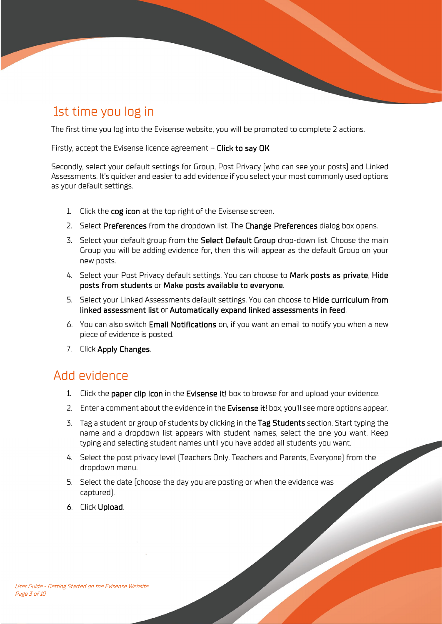# 1st time you log in

The first time you log into the Evisense website, you will be prompted to complete 2 actions.

Firstly, accept the Evisense licence agreement – Click to say OK

Secondly, select your default settings for Group, Post Privacy (who can see your posts) and Linked Assessments. It's quicker and easier to add evidence if you select your most commonly used options as your default settings.

- 1. Click the cog icon at the top right of the Evisense screen.
- 2. Select Preferences from the dropdown list. The Change Preferences dialog box opens.
- 3. Select your default group from the Select Default Group drop-down list. Choose the main Group you will be adding evidence for, then this will appear as the default Group on your new posts.
- 4. Select your Post Privacy default settings. You can choose to Mark posts as private, Hide posts from students or Make posts available to everyone.
- 5. Select your Linked Assessments default settings. You can choose to Hide curriculum from linked assessment list or Automatically expand linked assessments in feed.
- 6. You can also switch Email Notifications on, if you want an email to notify you when a new piece of evidence is posted.
- 7. Click Apply Changes.

### <span id="page-2-0"></span>Add evidence

- 1. Click the paper clip icon in the Evisense it! box to browse for and upload your evidence.
- 2. Enter a comment about the evidence in the Evisense it! box, you'll see more options appear.
- 3. Tag a student or group of students by clicking in the Tag Students section. Start typing the name and a dropdown list appears with student names, select the one you want. Keep typing and selecting student names until you have added all students you want.
- 4. Select the post privacy level (Teachers Only, Teachers and Parents, Everyone) from the dropdown menu.
- 5. Select the date (choose the day you are posting or when the evidence was captured).
- 6. Click Upload.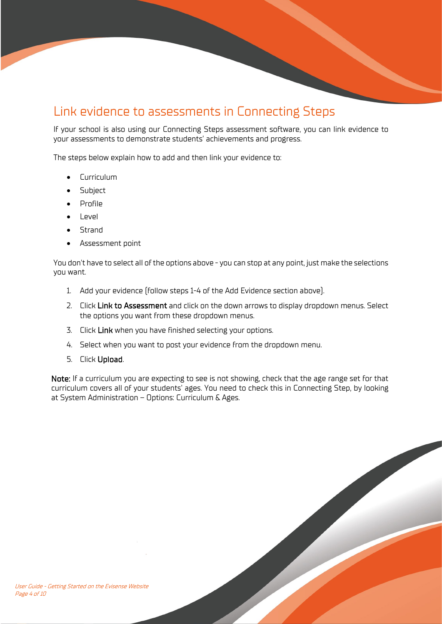## <span id="page-3-0"></span>Link evidence to assessments in Connecting Steps

If your school is also using our Connecting Steps assessment software, you can link evidence to your assessments to demonstrate students' achievements and progress.

The steps below explain how to add and then link your evidence to:

- Curriculum
- Subject
- Profile
- Level
- Strand
- Assessment point

You don't have to select all of the options above - you can stop at any point, just make the selections you want.

- 1. Add your evidence (follow steps 1-4 of the Add Evidence section above).
- 2. Click Link to Assessment and click on the down arrows to display dropdown menus. Select the options you want from these dropdown menus.
- 3. Click Link when you have finished selecting your options.
- 4. Select when you want to post your evidence from the dropdown menu.
- 5. Click Upload.

Note: If a curriculum you are expecting to see is not showing, check that the age range set for that curriculum covers all of your students' ages. You need to check this in Connecting Step, by looking at System Administration – Options: Curriculum & Ages.

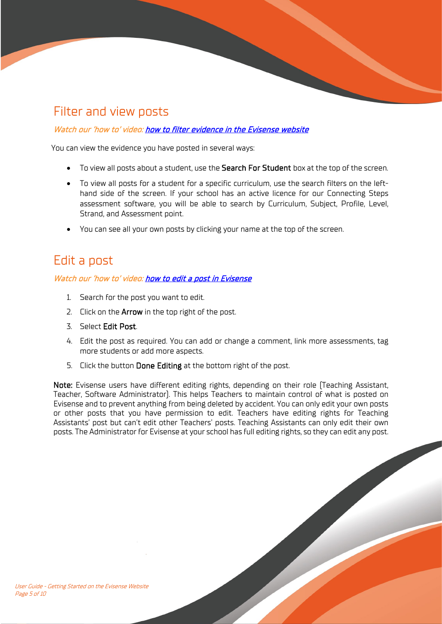## <span id="page-4-0"></span>Filter and view posts

#### Watch our 'how to' video[: how to filter evidence in the Evisense website](https://support.bsquared.co.uk/evisense/how-do-i-filter-evidence-in-the-evisense-website/?utm_source=Evisense&utm_medium=UserGuide&utm_campaign=EVISupportSiteVideo-FilterEvidence)

You can view the evidence you have posted in several ways:

- To view all posts about a student, use the Search For Student box at the top of the screen.
- To view all posts for a student for a specific curriculum, use the search filters on the lefthand side of the screen. If your school has an active licence for our Connecting Steps assessment software, you will be able to search by Curriculum, Subject, Profile, Level, Strand, and Assessment point.
- You can see all your own posts by clicking your name at the top of the screen.

### <span id="page-4-1"></span>Edit a post

#### Watch our 'how to' video[: how to edit a post in Evisense](https://support.bsquared.co.uk/evisense/how-to-edit-a-post-in-evisense/?utm_source=Evisense&utm_medium=UserGuide&utm_campaign=EVISupportSiteVideo-EditAPost)

- 1. Search for the post you want to edit.
- 2. Click on the **Arrow** in the top right of the post.
- 3. Select Edit Post.
- 4. Edit the post as required. You can add or change a comment, link more assessments, tag more students or add more aspects.
- 5. Click the button Done Editing at the bottom right of the post.

Note: Evisense users have different editing rights, depending on their role (Teaching Assistant, Teacher, Software Administrator). This helps Teachers to maintain control of what is posted on Evisense and to prevent anything from being deleted by accident. You can only edit your own posts or other posts that you have permission to edit. Teachers have editing rights for Teaching Assistants' post but can't edit other Teachers' posts. Teaching Assistants can only edit their own posts. The Administrator for Evisense at your school has full editing rights, so they can edit any post.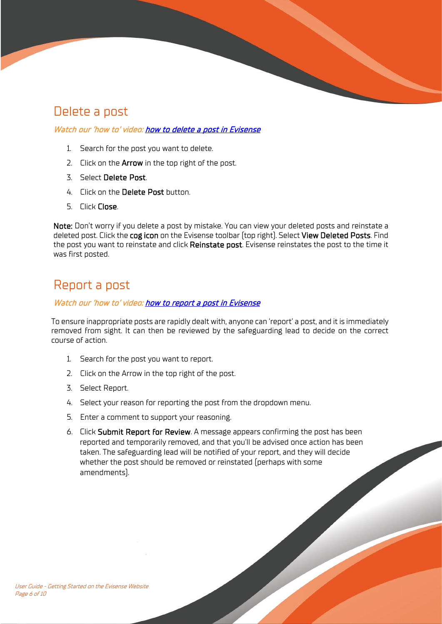## <span id="page-5-0"></span>Delete a post

#### Watch our 'how to' video[: how to delete a post in Evisense](https://support.bsquared.co.uk/evisense/how-to-delete-a-post-in-evisense/?utm_source=Evisense&utm_medium=UserGuide&utm_campaign=EVISupportSiteVideo-DeleteAPost)

- 1. Search for the post you want to delete.
- 2. Click on the **Arrow** in the top right of the post.
- 3. Select Delete Post.
- 4. Click on the Delete Post button.
- 5. Click Close.

Note: Don't worry if you delete a post by mistake. You can view your deleted posts and reinstate a deleted post. Click the cog icon on the Evisense toolbar (top right). Select View Deleted Posts. Find the post you want to reinstate and click Reinstate post. Evisense reinstates the post to the time it was first posted.

## <span id="page-5-1"></span>Report a post

#### Watch our 'how to' video[: how to report a post in Evisense](https://support.bsquared.co.uk/evisense/how-to-report-a-post-in-evisense/?utm_source=Evisense&utm_medium=UserGuide&utm_campaign=EVISupportSiteVideo-ReportAPost)

To ensure inappropriate posts are rapidly dealt with, anyone can 'report' a post, and it is immediately removed from sight. It can then be reviewed by the safeguarding lead to decide on the correct course of action.

- 1. Search for the post you want to report.
- 2. Click on the Arrow in the top right of the post.
- 3. Select Report.
- 4. Select your reason for reporting the post from the dropdown menu.
- 5. Enter a comment to support your reasoning.
- 6. Click Submit Report for Review. A message appears confirming the post has been reported and temporarily removed, and that you'll be advised once action has been taken. The safeguarding lead will be notified of your report, and they will decide whether the post should be removed or reinstated (perhaps with some amendments).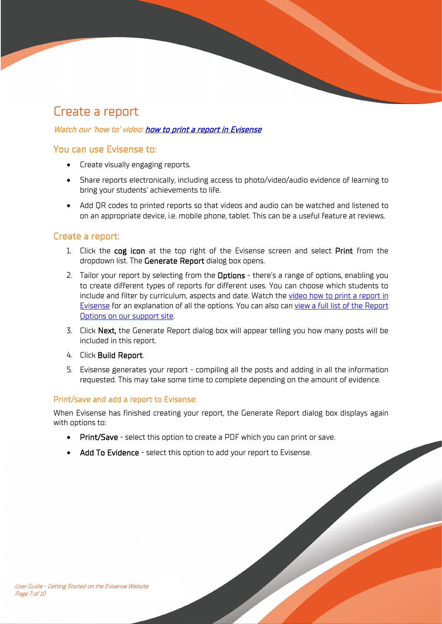### <span id="page-6-0"></span>Create a report

#### Watch our 'how to' video[: how to print a report in Evisense](https://support.bsquared.co.uk/evisense/how-to-print-a-report-in-evisense/?utm_source=Evisense&utm_medium=UserGuide&utm_campaign=EVISupportSiteVideo-PrintAReport)

#### You can use Evisense to:

- Create visually engaging reports.
- Share reports electronically, including access to photo/video/audio evidence of learning to bring your students' achievements to life.
- Add QR codes to printed reports so that videos and audio can be watched and listened to on an appropriate device, i.e. mobile phone, tablet. This can be a useful feature at reviews.

#### Create a report:

- 1. Click the cog icon at the top right of the Evisense screen and select Print from the dropdown list. The Generate Report dialog box opens.
- 2. Tailor your report by selecting from the Options there's a range of options, enabling you to create different types of reports for different uses. You can choose which students to include and filter by curriculum, aspects and date. Watch the video how to print a report in [Evisense](https://support.bsquared.co.uk/evisense/how-to-print-a-report-in-evisense/?utm_source=Evisense&utm_medium=UserGuide&utm_campaign=EVISupportSiteVideo-PrintAReport) for an explanation of all the options. You can also can [view a full list of the Report](https://support.bsquared.co.uk/evisense/creating-and-printing-reports/?utm_source=Evisense&utm_medium=UserGuide&utm_campaign=EVISupportSiteVideo-ReportOptions)  [Options on our support site.](https://support.bsquared.co.uk/evisense/creating-and-printing-reports/?utm_source=Evisense&utm_medium=UserGuide&utm_campaign=EVISupportSiteVideo-ReportOptions)
- 3. Click Next, the Generate Report dialog box will appear telling you how many posts will be included in this report.
- 4. Click Build Report.
- 5. Evisense generates your report compiling all the posts and adding in all the information requested. This may take some time to complete depending on the amount of evidence.

#### Print/save and add a report to Evisense:

When Evisense has finished creating your report, the Generate Report dialog box displays again with options to:

- Print/Save select this option to create a PDF which you can print or save.
- Add To Evidence select this option to add your report to Evisense.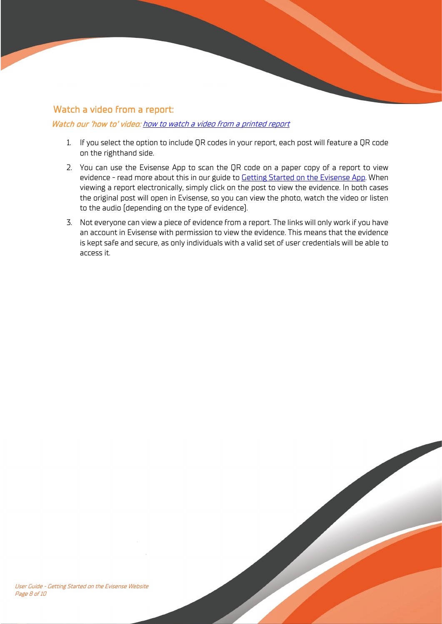#### Watch a video from a report:

#### Watch our 'how to' video: how [to watch a video from a printed report](https://support.bsquared.co.uk/evisense/how-to-watch-a-video-from-a-printed-evisense-report/?utm_source=Evisense&utm_medium=UserGuide&utm_campaign=EVISupportSiteVideo-WatchVideoFromPrintedReport)

- 1. If you select the option to include QR codes in your report, each post will feature a QR code on the righthand side.
- 2. You can use the Evisense App to scan the QR code on a paper copy of a report to view evidence - read more about this in our guide to **Getting Started on the Evisense App**. When viewing a report electronically, simply click on the post to view the evidence. In both cases the original post will open in Evisense, so you can view the photo, watch the video or listen to the audio (depending on the type of evidence).
- 3. Not everyone can view a piece of evidence from a report. The links will only work if you have an account in Evisense with permission to view the evidence. This means that the evidence is kept safe and secure, as only individuals with a valid set of user credentials will be able to access it.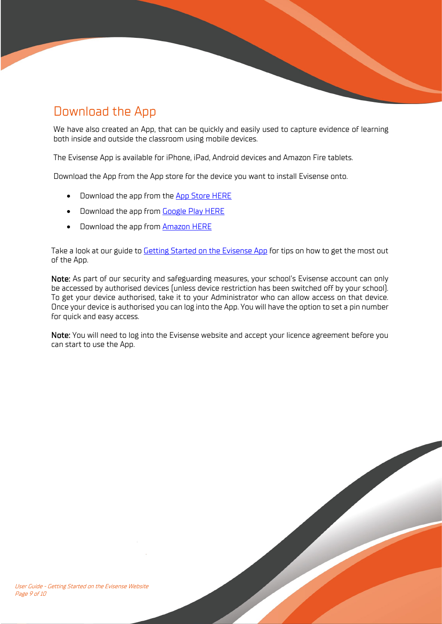# Download the App

We have also created an App, that can be quickly and easily used to capture evidence of learning both inside and outside the classroom using mobile devices.

The Evisense App is available for iPhone, iPad, Android devices and Amazon Fire tablets.

Download the App from the App store for the device you want to install Evisense onto.

- Download the app from the [App Store HERE](https://apps.apple.com/gb/developer/b-squared/id689172373)
- Download the app from [Google Play HERE](https://play.google.com/store/apps/developer?id=B%20Squared%20Ltd)
- Download the app from [Amazon HERE](https://www.amazon.co.uk/gp/product/B01LM5BBKE)

Take a look at our guide to **Getting Started on the Evisense App** for tips on how to get the most out of the App.

Note: As part of our security and safeguarding measures, your school's Evisense account can only be accessed by authorised devices (unless device restriction has been switched off by your school). To get your device authorised, take it to your Administrator who can allow access on that device. Once your device is authorised you can log into the App. You will have the option to set a pin number for quick and easy access.

Note: You will need to log into the Evisense website and accept your licence agreement before you can start to use the App.